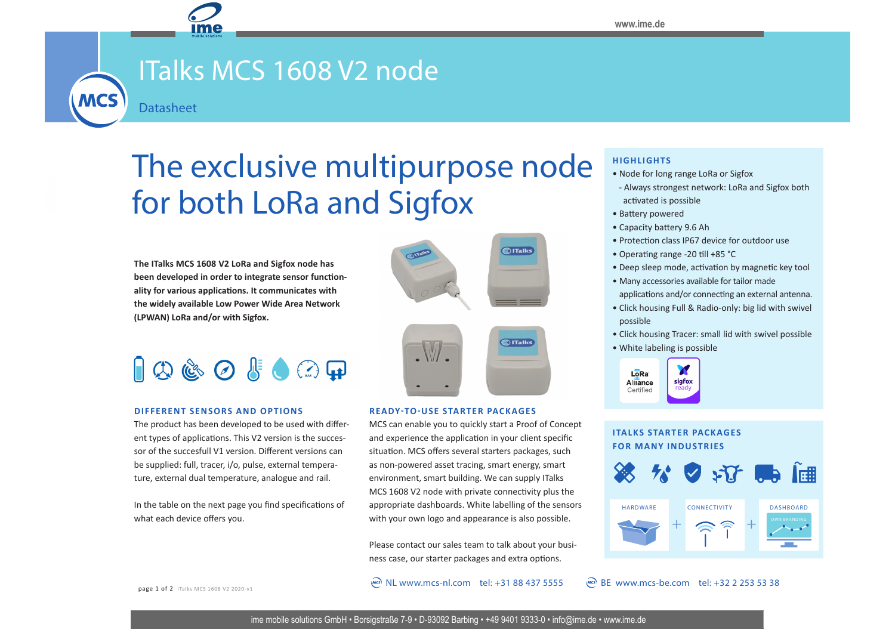# ITalks MCS 1608 V2 node

**Datasheet** 

**MCS** 

## The exclusive multipurpose node for both LoRa and Sigfox

**The ITalks MCS 1608 V2 LoRa and Sigfox node has been developed in order to integrate sensor functionality for various applications. It communicates with the widely available Low Power Wide Area Network (LPWAN) LoRa and/or with Sigfox.**

 $\Box$   $\Box$   $\Diamond$   $\Diamond$   $\Diamond$   $\Diamond$   $\Box$ 

#### **DIFFERENT SENSORS AND OPTIONS**

The product has been developed to be used with different types of applications. This V2 version is the successor of the succesfull V1 version. Different versions can be supplied: full, tracer, i/o, pulse, external temperature, external dual temperature, analogue and rail.

In the table on the next page you find specifications of what each device offers you.





#### **READY-TO-USE STARTER PACKAGES**

MCS can enable you to quickly start a Proof of Concept and experience the application in your client specific situation. MCS offers several starters packages, such as non-powered asset tracing, smart energy, smart environment, smart building. We can supply ITalks MCS 1608 V2 node with private connectivity plus the appropriate dashboards. White labelling of the sensors with your own logo and appearance is also possible.

Please contact our sales team to talk about your business case, our starter packages and extra options.

 $\degree$  NL www.mcs-nl.com tel: +31 88 437 5555  $\degree$  BE www.mcs-be.com tel: +32 2 253 53 38

#### **HIGHLIGHTS**

- Node for long range LoRa or Sigfox
- Always strongest network: LoRa and Sigfox both activated is possible
- Battery powered
- Capacity battery 9.6 Ah
- Protection class IP67 device for outdoor use
- Operating range -20 till +85 °C
- Deep sleep mode, activation by magnetic key tool
- Many accessories available for tailor made applications and/or connecting an external antenna.
- Click housing Full & Radio-only: big lid with swivel possible
- Click housing Tracer: small lid with swivel possible
- White labeling is possible



#### **ITALKS STARTER PACKAGES FOR MANY INDUSTRIES**



page 1 of 2 ITalks MCS 1608 V2 2020-v1